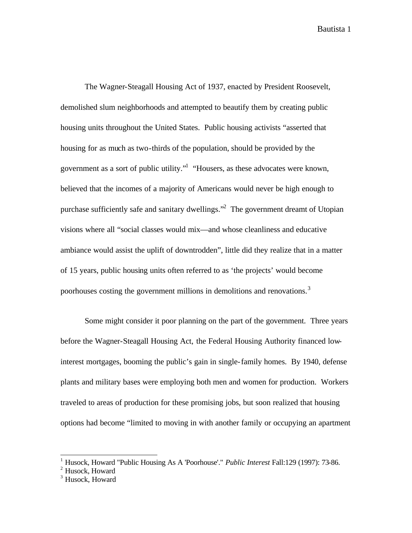The Wagner-Steagall Housing Act of 1937, enacted by President Roosevelt, demolished slum neighborhoods and attempted to beautify them by creating public housing units throughout the United States. Public housing activists "asserted that housing for as much as two-thirds of the population, should be provided by the government as a sort of public utility."<sup>1</sup> "Housers, as these advocates were known, believed that the incomes of a majority of Americans would never be high enough to purchase sufficiently safe and sanitary dwellings."<sup>2</sup> The government dreamt of Utopian visions where all "social classes would mix—and whose cleanliness and educative ambiance would assist the uplift of downtrodden", little did they realize that in a matter of 15 years, public housing units often referred to as 'the projects' would become poorhouses costing the government millions in demolitions and renovations.<sup>3</sup>

Some might consider it poor planning on the part of the government. Three years before the Wagner-Steagall Housing Act, the Federal Housing Authority financed lowinterest mortgages, booming the public's gain in single-family homes. By 1940, defense plants and military bases were employing both men and women for production. Workers traveled to areas of production for these promising jobs, but soon realized that housing options had become "limited to moving in with another family or occupying an apartment

<sup>1</sup> Husock, Howard "Public Housing As A 'Poorhouse'." *Public Interest* Fall:129 (1997): 73-86.

<sup>&</sup>lt;sup>2</sup> Husock, Howard

<sup>&</sup>lt;sup>3</sup> Husock, Howard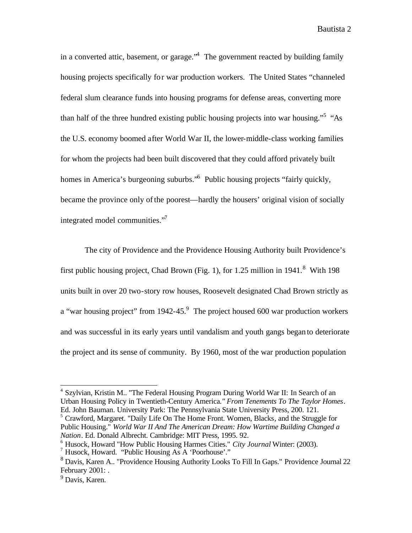in a converted attic, basement, or garage.<sup>4</sup> The government reacted by building family housing projects specifically for war production workers. The United States "channeled federal slum clearance funds into housing programs for defense areas, converting more than half of the three hundred existing public housing projects into war housing."<sup>5</sup> "As the U.S. economy boomed after World War II, the lower-middle-class working families for whom the projects had been built discovered that they could afford privately built homes in America's burgeoning suburbs."<sup>6</sup> Public housing projects "fairly quickly, became the province only of the poorest—hardly the housers' original vision of socially integrated model communities."<sup>7</sup>

The city of Providence and the Providence Housing Authority built Providence's first public housing project, Chad Brown (Fig. 1), for 1.25 million in  $1941$ .<sup>8</sup> With 198 units built in over 20 two-story row houses, Roosevelt designated Chad Brown strictly as a "war housing project" from  $1942-45$ . The project housed 600 war production workers and was successful in its early years until vandalism and youth gangs began to deteriorate the project and its sense of community. By 1960, most of the war production population

 4 Szylvian, Kristin M.. "The Federal Housing Program During World War II: In Search of an Urban Housing Policy in Twentieth-Century America*." From Tenements To The Taylor Homes*. Ed. John Bauman. University Park: The Pennsylvania State University Press, 200. 121.

<sup>5</sup> Crawford, Margaret. "Daily Life On The Home Front. Women, Blacks, and the Struggle for Public Housing." *World War II And The American Dream: How Wartime Building Changed a Nation*. Ed. Donald Albrecht. Cambridge: MIT Press, 1995. 92.

<sup>6</sup> Husock, Howard "How Public Housing Harmes Cities." *City Journal* Winter: (2003).

<sup>7</sup> Husock, Howard. "Public Housing As A 'Poorhouse'."

<sup>&</sup>lt;sup>8</sup> Davis, Karen A.. "Providence Housing Authority Looks To Fill In Gaps." Providence Journal 22 February 2001: .

<sup>&</sup>lt;sup>9</sup> Davis, Karen.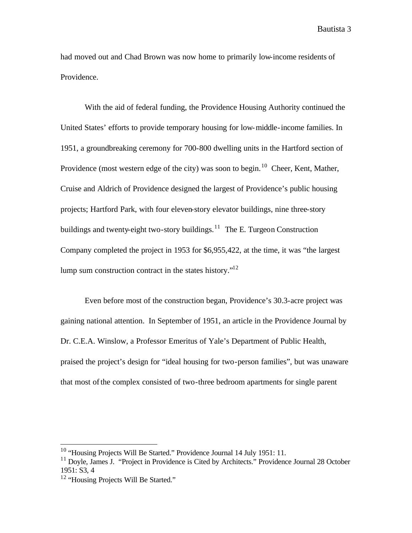had moved out and Chad Brown was now home to primarily low-income residents of Providence.

With the aid of federal funding, the Providence Housing Authority continued the United States' efforts to provide temporary housing for low-middle-income families. In 1951, a groundbreaking ceremony for 700-800 dwelling units in the Hartford section of Providence (most western edge of the city) was soon to begin.<sup>10</sup> Cheer, Kent, Mather, Cruise and Aldrich of Providence designed the largest of Providence's public housing projects; Hartford Park, with four eleven-story elevator buildings, nine three-story buildings and twenty-eight two-story buildings.<sup>11</sup> The E. Turgeon Construction Company completed the project in 1953 for \$6,955,422, at the time, it was "the largest lump sum construction contract in the states history."<sup>12</sup>

Even before most of the construction began, Providence's 30.3-acre project was gaining national attention. In September of 1951, an article in the Providence Journal by Dr. C.E.A. Winslow, a Professor Emeritus of Yale's Department of Public Health, praised the project's design for "ideal housing for two-person families", but was unaware that most of the complex consisted of two-three bedroom apartments for single parent

 $10$  "Housing Projects Will Be Started." Providence Journal 14 July 1951: 11.

<sup>&</sup>lt;sup>11</sup> Dovle, James J. "Project in Providence is Cited by Architects." Providence Journal 28 October 1951: S3, 4

<sup>&</sup>lt;sup>12</sup> "Housing Projects Will Be Started."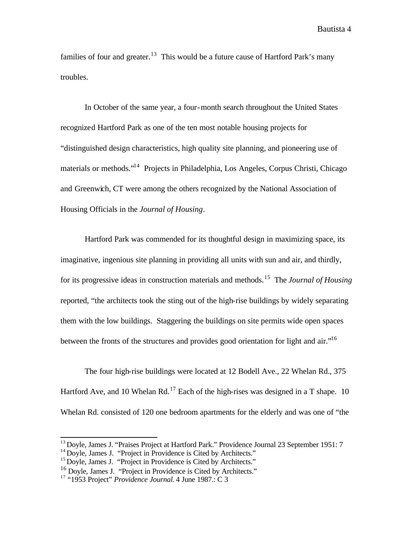families of four and greater.<sup>13</sup> This would be a future cause of Hartford Park's many troubles.

In October of the same year, a four-month search throughout the United States recognized Hartford Park as one of the ten most notable housing projects for "distinguished design characteristics, high quality site planning, and pioneering use of materials or methods."<sup>14</sup> Projects in Philadelphia, Los Angeles, Corpus Christi, Chicago and Greenwich, CT were among the others recognized by the National Association of Housing Officials in the *Journal of Housing*.

Hartford Park was commended for its thoughtful design in maximizing space, its imaginative, ingenious site planning in providing all units with sun and air, and thirdly, for its progressive ideas in construction materials and methods.<sup>15</sup> The *Journal of Housing* reported, "the architects took the sting out of the high-rise buildings by widely separating them with the low buildings. Staggering the buildings on site permits wide open spaces between the fronts of the structures and provides good orientation for light and air."<sup>16</sup>

The four high-rise buildings were located at 12 Bodell Ave., 22 Whelan Rd., 375 Hartford Ave, and 10 Whelan Rd.<sup>17</sup> Each of the high-rises was designed in a T shape. 10 Whelan Rd. consisted of 120 one bedroom apartments for the elderly and was one of "the

<sup>&</sup>lt;sup>13</sup> Doyle, James J. "Praises Project at Hartford Park." Providence Journal 23 September 1951: 7

<sup>&</sup>lt;sup>14</sup> Doyle, James J. "Project in Providence is Cited by Architects."

<sup>&</sup>lt;sup>15</sup> Doyle, James J. "Project in Providence is Cited by Architects."

<sup>&</sup>lt;sup>16</sup> Doyle, James J. "Project in Providence is Cited by Architects."

<sup>17</sup> "1953 Project" *Providence Journal.* 4 June 1987.: C 3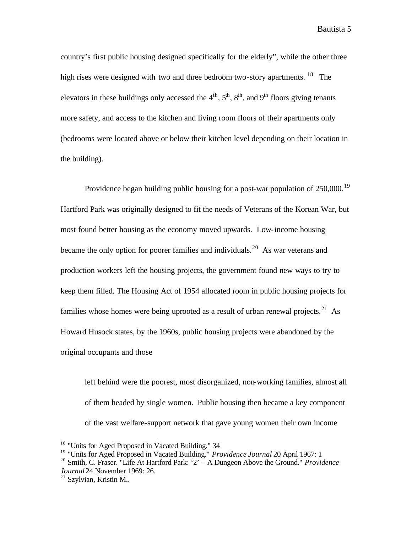country's first public housing designed specifically for the elderly", while the other three high rises were designed with two and three bedroom two-story apartments. <sup>18</sup> The elevators in these buildings only accessed the  $4<sup>th</sup>$ ,  $5<sup>th</sup>$ ,  $8<sup>th</sup>$ , and  $9<sup>th</sup>$  floors giving tenants more safety, and access to the kitchen and living room floors of their apartments only (bedrooms were located above or below their kitchen level depending on their location in the building).

Providence began building public housing for a post-war population of  $250,000$ .<sup>19</sup> Hartford Park was originally designed to fit the needs of Veterans of the Korean War, but most found better housing as the economy moved upwards. Low-income housing became the only option for poorer families and individuals.<sup>20</sup> As war veterans and production workers left the housing projects, the government found new ways to try to keep them filled. The Housing Act of 1954 allocated room in public housing projects for families whose homes were being uprooted as a result of urban renewal projects.<sup>21</sup> As Howard Husock states, by the 1960s, public housing projects were abandoned by the original occupants and those

left behind were the poorest, most disorganized, non-working families, almost all of them headed by single women. Public housing then became a key component of the vast welfare-support network that gave young women their own income

<sup>&</sup>lt;sup>18</sup> "Units for Aged Proposed in Vacated Building." 34

<sup>19</sup> "Units for Aged Proposed in Vacated Building." *Providence Journal* 20 April 1967: 1

<sup>20</sup> Smith, C. Fraser. "Life At Hartford Park: '2' – A Dungeon Above the Ground." *Providence Journal* 24 November 1969: 26.

 $21$  Szylvian, Kristin M..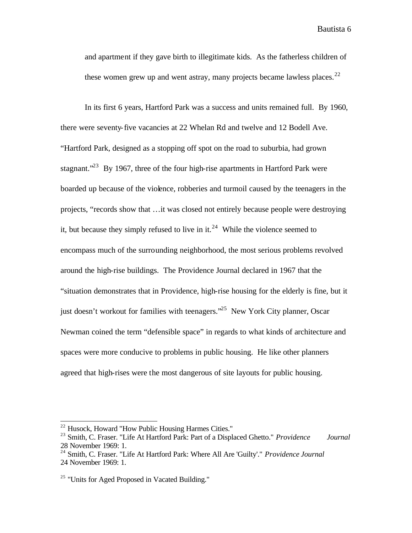and apartment if they gave birth to illegitimate kids. As the fatherless children of these women grew up and went astray, many projects became lawless places.<sup>22</sup>

In its first 6 years, Hartford Park was a success and units remained full. By 1960, there were seventy-five vacancies at 22 Whelan Rd and twelve and 12 Bodell Ave. "Hartford Park, designed as a stopping off spot on the road to suburbia, had grown stagnant.<sup> $23$ </sup> By 1967, three of the four high-rise apartments in Hartford Park were boarded up because of the violence, robberies and turmoil caused by the teenagers in the projects, "records show that …it was closed not entirely because people were destroying it, but because they simply refused to live in it.<sup>24</sup> While the violence seemed to encompass much of the surrounding neighborhood, the most serious problems revolved around the high-rise buildings. The Providence Journal declared in 1967 that the "situation demonstrates that in Providence, high-rise housing for the elderly is fine, but it just doesn't workout for families with teenagers."<sup>25</sup> New York City planner, Oscar Newman coined the term "defensible space" in regards to what kinds of architecture and spaces were more conducive to problems in public housing. He like other planners agreed that high-rises were the most dangerous of site layouts for public housing.

<sup>&</sup>lt;sup>22</sup> Husock, Howard "How Public Housing Harmes Cities."

<sup>23</sup> Smith, C. Fraser. "Life At Hartford Park: Part of a Displaced Ghetto." *Providence Journal*  28 November 1969: 1.

<sup>24</sup> Smith, C. Fraser. "Life At Hartford Park: Where All Are 'Guilty'." *Providence Journal* 24 November 1969: 1.

 $25$  "Units for Aged Proposed in Vacated Building."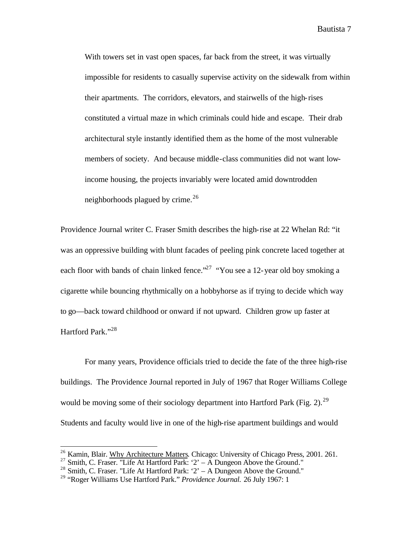With towers set in vast open spaces, far back from the street, it was virtually impossible for residents to casually supervise activity on the sidewalk from within their apartments. The corridors, elevators, and stairwells of the high-rises constituted a virtual maze in which criminals could hide and escape. Their drab architectural style instantly identified them as the home of the most vulnerable members of society. And because middle-class communities did not want lowincome housing, the projects invariably were located amid downtrodden neighborhoods plagued by crime.<sup>26</sup>

Providence Journal writer C. Fraser Smith describes the high-rise at 22 Whelan Rd: "it was an oppressive building with blunt facades of peeling pink concrete laced together at each floor with bands of chain linked fence."<sup>27</sup> "You see a 12-year old boy smoking a cigarette while bouncing rhythmically on a hobbyhorse as if trying to decide which way to go—back toward childhood or onward if not upward. Children grow up faster at Hartford Park."<sup>28</sup>

For many years, Providence officials tried to decide the fate of the three high-rise buildings. The Providence Journal reported in July of 1967 that Roger Williams College would be moving some of their sociology department into Hartford Park (Fig. 2).<sup>29</sup> Students and faculty would live in one of the high-rise apartment buildings and would

<sup>&</sup>lt;sup>26</sup> Kamin, Blair. Why Architecture Matters. Chicago: University of Chicago Press, 2001. 261.

 $27$  Smith, C. Fraser. "Life At Hartford Park: '2' – A Dungeon Above the Ground."

<sup>&</sup>lt;sup>28</sup> Smith, C. Fraser. "Life At Hartford Park: '2' – A Dungeon Above the Ground."

<sup>29</sup> "Roger Williams Use Hartford Park." *Providence Journal.* 26 July 1967: 1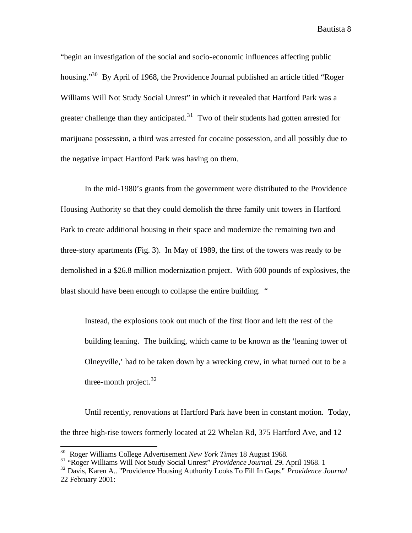"begin an investigation of the social and socio-economic influences affecting public housing."<sup>30</sup> By April of 1968, the Providence Journal published an article titled "Roger" Williams Will Not Study Social Unrest" in which it revealed that Hartford Park was a greater challenge than they anticipated.<sup>31</sup> Two of their students had gotten arrested for marijuana possession, a third was arrested for cocaine possession, and all possibly due to the negative impact Hartford Park was having on them.

In the mid-1980's grants from the government were distributed to the Providence Housing Authority so that they could demolish the three family unit towers in Hartford Park to create additional housing in their space and modernize the remaining two and three-story apartments (Fig. 3). In May of 1989, the first of the towers was ready to be demolished in a \$26.8 million modernization project. With 600 pounds of explosives, the blast should have been enough to collapse the entire building. "

Instead, the explosions took out much of the first floor and left the rest of the building leaning. The building, which came to be known as the 'leaning tower of Olneyville,' had to be taken down by a wrecking crew, in what turned out to be a three-month project.  $32$ 

Until recently, renovations at Hartford Park have been in constant motion. Today, the three high-rise towers formerly located at 22 Whelan Rd, 375 Hartford Ave, and 12

<sup>30</sup> Roger Williams College Advertisement *New York Times* 18 August 1968.

<sup>31</sup> "Roger Williams Will Not Study Social Unrest" *Providence Journal*. 29. April 1968. 1

<sup>32</sup> Davis, Karen A.. "Providence Housing Authority Looks To Fill In Gaps." *Providence Journal* 22 February 2001: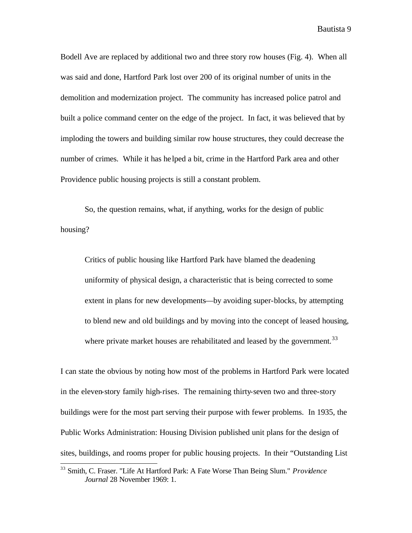Bodell Ave are replaced by additional two and three story row houses (Fig. 4). When all was said and done, Hartford Park lost over 200 of its original number of units in the demolition and modernization project. The community has increased police patrol and built a police command center on the edge of the project. In fact, it was believed that by imploding the towers and building similar row house structures, they could decrease the number of crimes. While it has he lped a bit, crime in the Hartford Park area and other Providence public housing projects is still a constant problem.

So, the question remains, what, if anything, works for the design of public housing?

Critics of public housing like Hartford Park have blamed the deadening uniformity of physical design, a characteristic that is being corrected to some extent in plans for new developments—by avoiding super-blocks, by attempting to blend new and old buildings and by moving into the concept of leased housing, where private market houses are rehabilitated and leased by the government.<sup>33</sup>

I can state the obvious by noting how most of the problems in Hartford Park were located in the eleven-story family high-rises. The remaining thirty-seven two and three-story buildings were for the most part serving their purpose with fewer problems. In 1935, the Public Works Administration: Housing Division published unit plans for the design of sites, buildings, and rooms proper for public housing projects. In their "Outstanding List

<sup>33</sup> Smith, C. Fraser. "Life At Hartford Park: A Fate Worse Than Being Slum." *Providence Journal* 28 November 1969: 1.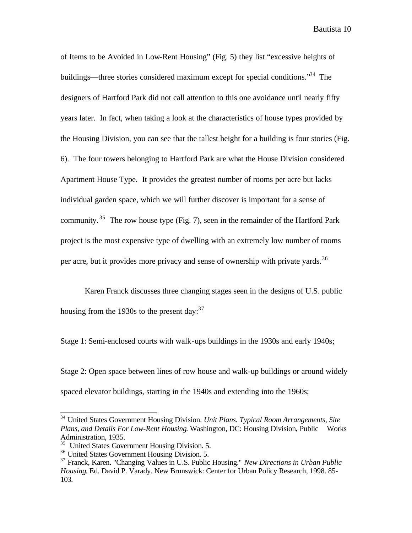of Items to be Avoided in Low-Rent Housing" (Fig. 5) they list "excessive heights of buildings—three stories considered maximum except for special conditions.<sup>34</sup> The designers of Hartford Park did not call attention to this one avoidance until nearly fifty years later. In fact, when taking a look at the characteristics of house types provided by the Housing Division, you can see that the tallest height for a building is four stories (Fig. 6). The four towers belonging to Hartford Park are what the House Division considered Apartment House Type. It provides the greatest number of rooms per acre but lacks individual garden space, which we will further discover is important for a sense of community. <sup>35</sup> The row house type (Fig. 7), seen in the remainder of the Hartford Park project is the most expensive type of dwelling with an extremely low number of rooms per acre, but it provides more privacy and sense of ownership with private yards.<sup>36</sup>

Karen Franck discusses three changing stages seen in the designs of U.S. public housing from the 1930s to the present day:  $37$ 

Stage 1: Semi-enclosed courts with walk-ups buildings in the 1930s and early 1940s;

Stage 2: Open space between lines of row house and walk-up buildings or around widely spaced elevator buildings, starting in the 1940s and extending into the 1960s;

<sup>34</sup> United States Government Housing Division. *Unit Plans. Typical Room Arrangements, Site Plans, and Details For Low-Rent Housing*. Washington, DC: Housing Division, Public Works Administration, 1935.

<sup>&</sup>lt;sup>35</sup> United States Government Housing Division. 5.

<sup>36</sup> United States Government Housing Division. 5.

<sup>37</sup> Franck, Karen. "Changing Values in U.S. Public Housing." *New Directions in Urban Public Housing*. Ed. David P. Varady. New Brunswick: Center for Urban Policy Research, 1998. 85- 103.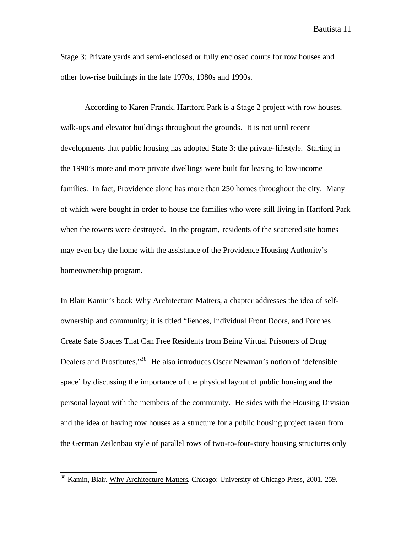Stage 3: Private yards and semi-enclosed or fully enclosed courts for row houses and other low-rise buildings in the late 1970s, 1980s and 1990s.

According to Karen Franck, Hartford Park is a Stage 2 project with row houses, walk-ups and elevator buildings throughout the grounds. It is not until recent developments that public housing has adopted State 3: the private-lifestyle. Starting in the 1990's more and more private dwellings were built for leasing to low-income families. In fact, Providence alone has more than 250 homes throughout the city. Many of which were bought in order to house the families who were still living in Hartford Park when the towers were destroyed. In the program, residents of the scattered site homes may even buy the home with the assistance of the Providence Housing Authority's homeownership program.

In Blair Kamin's book Why Architecture Matters, a chapter addresses the idea of selfownership and community; it is titled "Fences, Individual Front Doors, and Porches Create Safe Spaces That Can Free Residents from Being Virtual Prisoners of Drug Dealers and Prostitutes."<sup>38</sup> He also introduces Oscar Newman's notion of 'defensible space' by discussing the importance of the physical layout of public housing and the personal layout with the members of the community. He sides with the Housing Division and the idea of having row houses as a structure for a public housing project taken from the German Zeilenbau style of parallel rows of two-to-four-story housing structures only

<sup>&</sup>lt;sup>38</sup> Kamin, Blair. Why Architecture Matters. Chicago: University of Chicago Press, 2001. 259.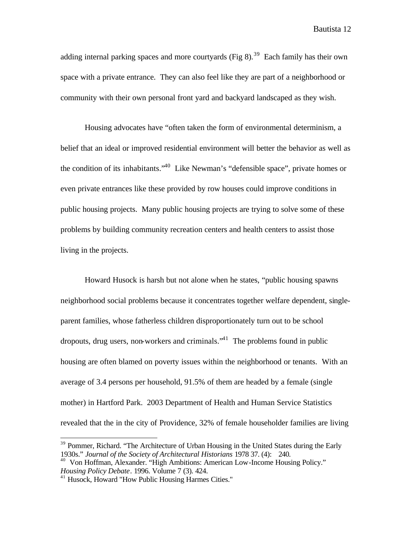adding internal parking spaces and more courtyards (Fig 8).<sup>39</sup> Each family has their own space with a private entrance. They can also feel like they are part of a neighborhood or community with their own personal front yard and backyard landscaped as they wish.

Housing advocates have "often taken the form of environmental determinism, a belief that an ideal or improved residential environment will better the behavior as well as the condition of its inhabitants."<sup>40</sup> Like Newman's "defensible space", private homes or even private entrances like these provided by row houses could improve conditions in public housing projects. Many public housing projects are trying to solve some of these problems by building community recreation centers and health centers to assist those living in the projects.

Howard Husock is harsh but not alone when he states, "public housing spawns neighborhood social problems because it concentrates together welfare dependent, singleparent families, whose fatherless children disproportionately turn out to be school dropouts, drug users, non-workers and criminals.<sup>41</sup> The problems found in public housing are often blamed on poverty issues within the neighborhood or tenants. With an average of 3.4 persons per household, 91.5% of them are headed by a female (single mother) in Hartford Park. 2003 Department of Health and Human Service Statistics revealed that the in the city of Providence, 32% of female householder families are living

 $39$  Pommer, Richard. "The Architecture of Urban Housing in the United States during the Early 1930s." *Journal of the Society of Architectural Historians* 1978 37. (4): 240.

<sup>&</sup>lt;sup>40</sup> Von Hoffman, Alexander. "High Ambitions: American Low-Income Housing Policy." *Housing Policy Debate*. 1996. Volume 7 (3). 424.

<sup>41</sup> Husock, Howard "How Public Housing Harmes Cities."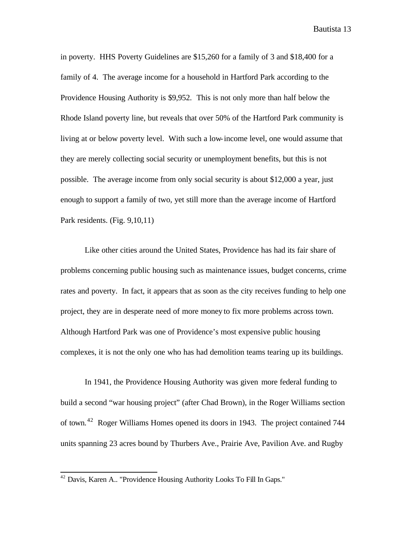in poverty. HHS Poverty Guidelines are \$15,260 for a family of 3 and \$18,400 for a family of 4. The average income for a household in Hartford Park according to the Providence Housing Authority is \$9,952. This is not only more than half below the Rhode Island poverty line, but reveals that over 50% of the Hartford Park community is living at or below poverty level. With such a low-income level, one would assume that they are merely collecting social security or unemployment benefits, but this is not possible. The average income from only social security is about \$12,000 a year, just enough to support a family of two, yet still more than the average income of Hartford Park residents. (Fig. 9,10,11)

Like other cities around the United States, Providence has had its fair share of problems concerning public housing such as maintenance issues, budget concerns, crime rates and poverty. In fact, it appears that as soon as the city receives funding to help one project, they are in desperate need of more money to fix more problems across town. Although Hartford Park was one of Providence's most expensive public housing complexes, it is not the only one who has had demolition teams tearing up its buildings.

In 1941, the Providence Housing Authority was given more federal funding to build a second "war housing project" (after Chad Brown), in the Roger Williams section of town.<sup>42</sup> Roger Williams Homes opened its doors in 1943. The project contained 744 units spanning 23 acres bound by Thurbers Ave., Prairie Ave, Pavilion Ave. and Rugby

 $42$  Davis, Karen A.. "Providence Housing Authority Looks To Fill In Gaps."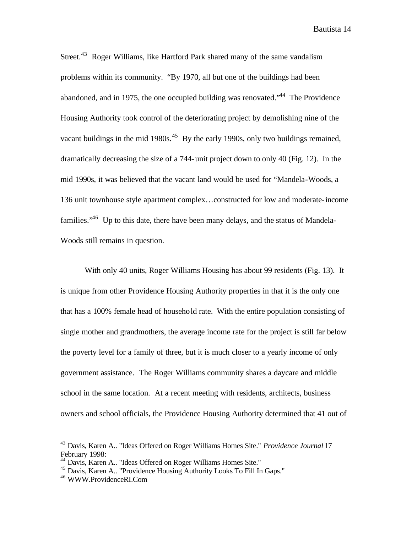Street.<sup>43</sup> Roger Williams, like Hartford Park shared many of the same vandalism problems within its community. "By 1970, all but one of the buildings had been abandoned, and in 1975, the one occupied building was renovated.<sup> $34$ </sup> The Providence Housing Authority took control of the deteriorating project by demolishing nine of the vacant buildings in the mid 1980s.<sup>45</sup> By the early 1990s, only two buildings remained, dramatically decreasing the size of a 744-unit project down to only 40 (Fig. 12). In the mid 1990s, it was believed that the vacant land would be used for "Mandela-Woods, a 136 unit townhouse style apartment complex…constructed for low and moderate-income families.<sup>46</sup> Up to this date, there have been many delays, and the status of Mandela-Woods still remains in question.

With only 40 units, Roger Williams Housing has about 99 residents (Fig. 13). It is unique from other Providence Housing Authority properties in that it is the only one that has a 100% female head of household rate. With the entire population consisting of single mother and grandmothers, the average income rate for the project is still far below the poverty level for a family of three, but it is much closer to a yearly income of only government assistance. The Roger Williams community shares a daycare and middle school in the same location. At a recent meeting with residents, architects, business owners and school officials, the Providence Housing Authority determined that 41 out of

<sup>43</sup> Davis, Karen A.. "Ideas Offered on Roger Williams Homes Site." *Providence Journal* 17 February 1998:

<sup>44</sup> Davis, Karen A.. "Ideas Offered on Roger Williams Homes Site."

<sup>45</sup> Davis, Karen A.. "Providence Housing Authority Looks To Fill In Gaps."

<sup>46</sup> WWW.ProvidenceRI.Com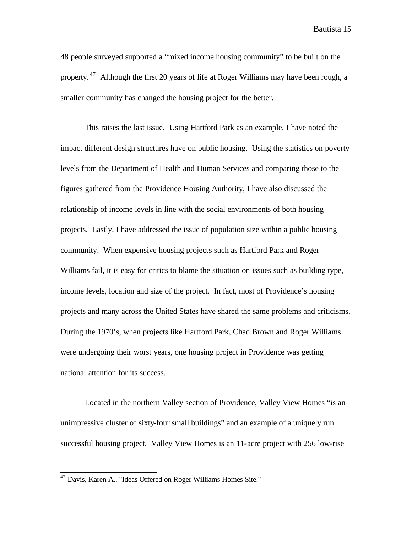48 people surveyed supported a "mixed income housing community" to be built on the property.  $47$  Although the first 20 years of life at Roger Williams may have been rough, a smaller community has changed the housing project for the better.

This raises the last issue. Using Hartford Park as an example, I have noted the impact different design structures have on public housing. Using the statistics on poverty levels from the Department of Health and Human Services and comparing those to the figures gathered from the Providence Housing Authority, I have also discussed the relationship of income levels in line with the social environments of both housing projects. Lastly, I have addressed the issue of population size within a public housing community. When expensive housing projects such as Hartford Park and Roger Williams fail, it is easy for critics to blame the situation on issues such as building type, income levels, location and size of the project. In fact, most of Providence's housing projects and many across the United States have shared the same problems and criticisms. During the 1970's, when projects like Hartford Park, Chad Brown and Roger Williams were undergoing their worst years, one housing project in Providence was getting national attention for its success.

Located in the northern Valley section of Providence, Valley View Homes "is an unimpressive cluster of sixty-four small buildings" and an example of a uniquely run successful housing project. Valley View Homes is an 11-acre project with 256 low-rise

<sup>&</sup>lt;sup>47</sup> Davis, Karen A.. "Ideas Offered on Roger Williams Homes Site."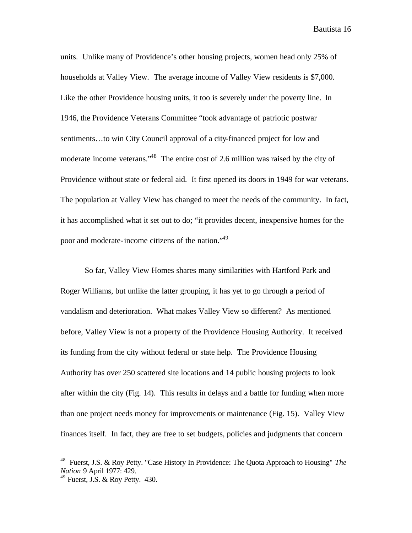units. Unlike many of Providence's other housing projects, women head only 25% of households at Valley View. The average income of Valley View residents is \$7,000. Like the other Providence housing units, it too is severely under the poverty line. In 1946, the Providence Veterans Committee "took advantage of patriotic postwar sentiments…to win City Council approval of a city-financed project for low and moderate income veterans."<sup>48</sup> The entire cost of 2.6 million was raised by the city of Providence without state or federal aid. It first opened its doors in 1949 for war veterans. The population at Valley View has changed to meet the needs of the community. In fact, it has accomplished what it set out to do; "it provides decent, inexpensive homes for the poor and moderate-income citizens of the nation.<sup>"49</sup>

So far, Valley View Homes shares many similarities with Hartford Park and Roger Williams, but unlike the latter grouping, it has yet to go through a period of vandalism and deterioration. What makes Valley View so different? As mentioned before, Valley View is not a property of the Providence Housing Authority. It received its funding from the city without federal or state help. The Providence Housing Authority has over 250 scattered site locations and 14 public housing projects to look after within the city (Fig. 14). This results in delays and a battle for funding when more than one project needs money for improvements or maintenance (Fig. 15). Valley View finances itself. In fact, they are free to set budgets, policies and judgments that concern

 48 Fuerst, J.S. & Roy Petty. "Case History In Providence: The Quota Approach to Housing" *The Nation* 9 April 1977: 429.

 $49$  Fuerst, J.S. & Roy Petty. 430.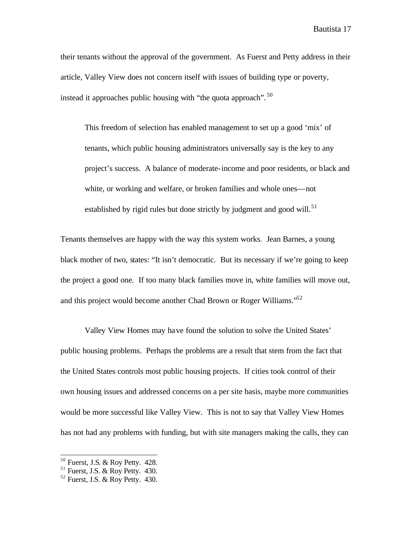their tenants without the approval of the government. As Fuerst and Petty address in their article, Valley View does not concern itself with issues of building type or poverty, instead it approaches public housing with "the quota approach".<sup>50</sup>

This freedom of selection has enabled management to set up a good 'mix' of tenants, which public housing administrators universally say is the key to any project's success. A balance of moderate-income and poor residents, or black and white, or working and welfare, or broken families and whole ones—not established by rigid rules but done strictly by judgment and good will.<sup>51</sup>

Tenants themselves are happy with the way this system works. Jean Barnes, a young black mother of two, states: "It isn't democratic. But its necessary if we're going to keep the project a good one. If too many black families move in, white families will move out, and this project would become another Chad Brown or Roger Williams.<sup>52</sup>

Valley View Homes may have found the solution to solve the United States' public housing problems. Perhaps the problems are a result that stem from the fact that the United States controls most public housing projects. If cities took control of their own housing issues and addressed concerns on a per site basis, maybe more communities would be more successful like Valley View. This is not to say that Valley View Homes has not had any problems with funding, but with site managers making the calls, they can

 $50$  Fuerst, J.S. & Roy Petty. 428.

 $51$  Fuerst, J.S. & Roy Petty. 430.

 $52$  Fuerst, J.S. & Roy Petty. 430.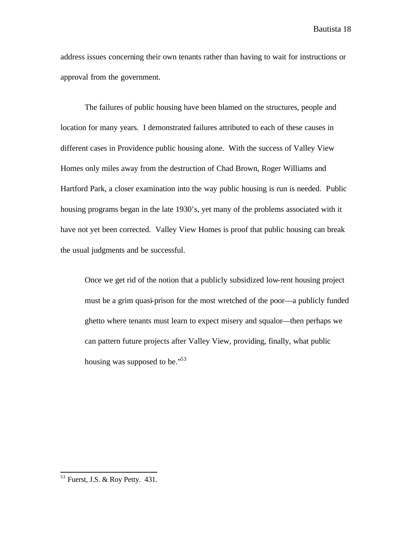address issues concerning their own tenants rather than having to wait for instructions or approval from the government.

The failures of public housing have been blamed on the structures, people and location for many years. I demonstrated failures attributed to each of these causes in different cases in Providence public housing alone. With the success of Valley View Homes only miles away from the destruction of Chad Brown, Roger Williams and Hartford Park, a closer examination into the way public housing is run is needed. Public housing programs began in the late 1930's, yet many of the problems associated with it have not yet been corrected. Valley View Homes is proof that public housing can break the usual judgments and be successful.

Once we get rid of the notion that a publicly subsidized low-rent housing project must be a grim quasi-prison for the most wretched of the poor—a publicly funded ghetto where tenants must learn to expect misery and squalor—then perhaps we can pattern future projects after Valley View, providing, finally, what public housing was supposed to be."<sup>53</sup>

 $53$  Fuerst, J.S. & Roy Petty. 431.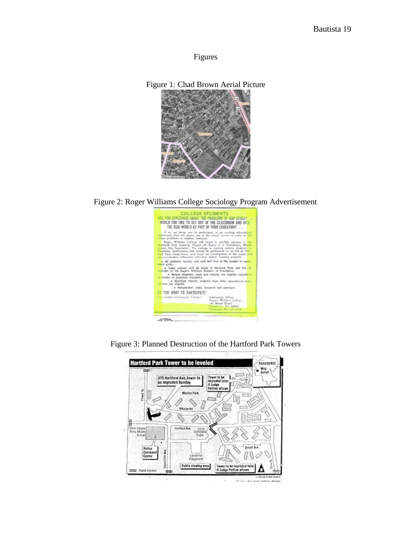Figures





Figure 2: Roger Williams College Sociology Program Advertisement



**Hartford Park Tower to be leveled PROVIDENCE** Map<br>Tertail ⊹  $h^E$ Tower to be<br>Imploded later<br>If Judge<br>Pettine allows 375 Hartford Ave.tower to<br>be imploded Sunday υü Merino Park Ŀ  $\mathcal{O}$ Œ Q **Whalan Rd** Æ C **POTS** Ò, 4 300 Ô Oliver Harard<br>Perry Middle<br>Scheel Hartford Ave. ż  $\begin{array}{c} \begin{array}{c} 0 \overline{0} \overline{0} \overline{0} \overline{0} \\ 0 \overline{0} \overline{0} \overline{0} \overline{0} \overline{0} \end{array} \\ \hline \begin{array}{c} \overline{0} \overline{0} \overline{0} \overline{0} \end{array} \end{array}$ × Palice Comman<br>Center э 1 Laure Hill<br>Playpround ß 違 Θ Ă Tower to be impladed later<br>If Judge Pettiae allows Public viewing area Four's blocked -Januario est Gratis

Bestuo the hour before detrett-

Figure 3: Planned Destruction of the Hartford Park Towers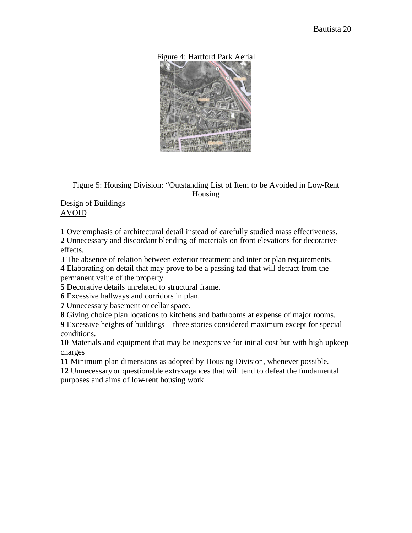



Figure 5: Housing Division: "Outstanding List of Item to be Avoided in Low-Rent Housing

Design of Buildings AVOID

**1** Overemphasis of architectural detail instead of carefully studied mass effectiveness. **2** Unnecessary and discordant blending of materials on front elevations for decorative effects.

**3** The absence of relation between exterior treatment and interior plan requirements.

**4** Elaborating on detail that may prove to be a passing fad that will detract from the permanent value of the property.

**5** Decorative details unrelated to structural frame.

**6** Excessive hallways and corridors in plan.

**7** Unnecessary basement or cellar space.

**8** Giving choice plan locations to kitchens and bathrooms at expense of major rooms.

**9** Excessive heights of buildings—three stories considered maximum except for special conditions.

**10** Materials and equipment that may be inexpensive for initial cost but with high upkeep charges

**11** Minimum plan dimensions as adopted by Housing Division, whenever possible.

**12** Unnecessary or questionable extravagances that will tend to defeat the fundamental purposes and aims of low-rent housing work.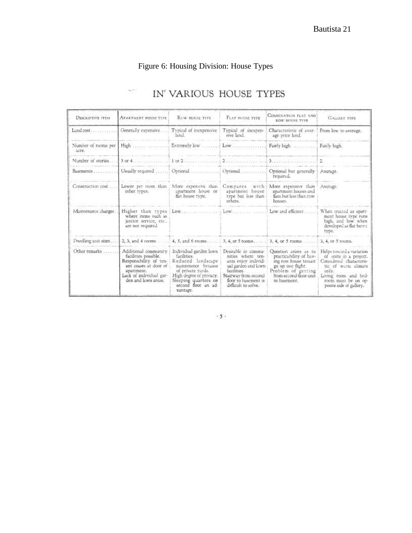## Figure 6: Housing Division: House Types

v.

## IN' VARIOUS HOUSE TYPES

| <b>DESCRIPTIVE ITEM</b>      | <b>APARTMENT HOUSE TYPE</b>                                                                                                                                     | ROW HOUSE TYPE                                                                                                                                                                               | FLAT HOUSE TYPE                                                                                                                                                              | COMBINATION FLAT AND<br>ROW HOUSE TYPE                                                                                                                       | <b>GALLERY TYPE</b>                                                                                                                                                                     |
|------------------------------|-----------------------------------------------------------------------------------------------------------------------------------------------------------------|----------------------------------------------------------------------------------------------------------------------------------------------------------------------------------------------|------------------------------------------------------------------------------------------------------------------------------------------------------------------------------|--------------------------------------------------------------------------------------------------------------------------------------------------------------|-----------------------------------------------------------------------------------------------------------------------------------------------------------------------------------------|
| Land cost                    | Generally expensive                                                                                                                                             | Typical of inexpensive<br>hind.                                                                                                                                                              | Typical of inexpen-<br>sive land.                                                                                                                                            | Characteristic of sver-<br>age price land.                                                                                                                   | From low to average.                                                                                                                                                                    |
| Number of rooms per<br>acre. | $High$ <sub>1</sub>                                                                                                                                             | Extremely low                                                                                                                                                                                |                                                                                                                                                                              | Fairly high                                                                                                                                                  | Fairly high.                                                                                                                                                                            |
| Number of stories.           | 3.0014                                                                                                                                                          | $1 \text{ or } 2 \dots \dots \dots \dots$                                                                                                                                                    |                                                                                                                                                                              |                                                                                                                                                              | $\overline{2}$                                                                                                                                                                          |
| Basements.                   | Usually required                                                                                                                                                | Optional                                                                                                                                                                                     | Optional                                                                                                                                                                     | Optional but generally<br>required.                                                                                                                          | Average.                                                                                                                                                                                |
| Construction cost            | Lower per room than<br>other types.                                                                                                                             | More expensive than<br>apartment house or<br>flat house type.                                                                                                                                | Compares<br>with<br>apartment house<br>type but less than<br>others.                                                                                                         | More expensive than<br>apartment houses and<br>flats but less than row<br>houses.                                                                            | Average.                                                                                                                                                                                |
| Maintenance charges.         | where items such as<br>janitor service, etc.,<br>are not required.                                                                                              | Higher than types Low                                                                                                                                                                        |                                                                                                                                                                              | Low and efficient.                                                                                                                                           | When treated as apart-<br>ment house type runs<br>high, and low when<br>developed as flat boure<br>type.                                                                                |
| Dwelling unit sizes          |                                                                                                                                                                 |                                                                                                                                                                                              |                                                                                                                                                                              |                                                                                                                                                              | 3, 4, or 5 rooms.                                                                                                                                                                       |
| Other remarks.               | Additional community<br>facilities possible.<br>Responsibility of ten-<br>ant ceases at door of<br>apartment.<br>Lack of individual gar-<br>den and lawn areas. | Individual garden lawn<br>facilities.<br>Reduced landscape<br>maintenance because<br>of private yards.<br>High degree of privacy.<br>Sleeping quarters on<br>second floor an ad-<br>vantage. | Desirable in commu-<br>nities where ten-<br>ants enjoy individ-<br>ual garden and lawn<br>facilities.<br>Stairway from second<br>floor to basement is<br>difficult to solve. | Question arises as to<br>practicability of hav-<br>ing row house tenant<br>go up one flight.<br>Problem of getting<br>from second-floor unit<br>to basement. | Helps toward a variation<br>of units in a project.<br>Considered characteris-<br>tic of warm climate<br>only.<br>Living room and bed-<br>room must be on on-<br>posite side of gallery. |

 $\cdot$  5  $\cdot$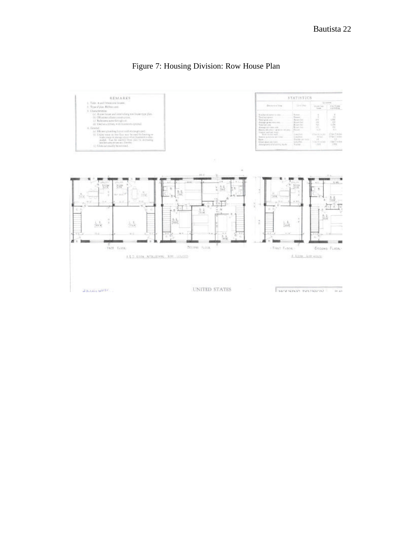

### Figure 7: Housing Division: Row House Plan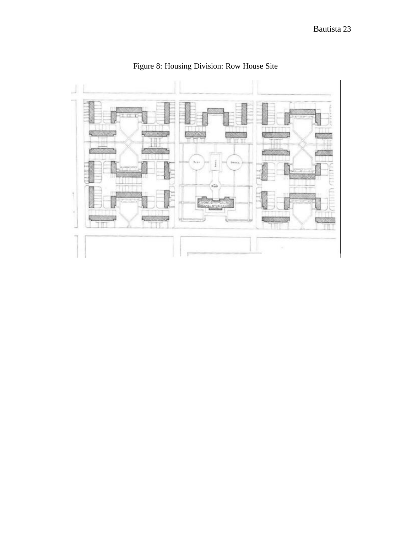

Figure 8: Housing Division: Row House Site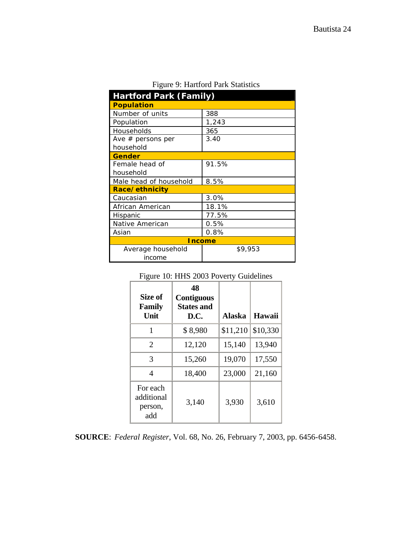| <b>Hartford Park (Family)</b> |         |  |  |  |
|-------------------------------|---------|--|--|--|
| <b>Population</b>             |         |  |  |  |
| Number of units               | 388     |  |  |  |
| Population                    | 1,243   |  |  |  |
| Households                    | 365     |  |  |  |
| Ave $#$ persons per           | 3.40    |  |  |  |
| household                     |         |  |  |  |
| <b>Gender</b>                 |         |  |  |  |
| Female head of                | 91.5%   |  |  |  |
| household                     |         |  |  |  |
| Male head of household        | 8.5%    |  |  |  |
| Race/ethnicity                |         |  |  |  |
| Caucasian                     | 3.0%    |  |  |  |
| African American              | 18.1%   |  |  |  |
| Hispanic                      | 77.5%   |  |  |  |
| Native American               | 0.5%    |  |  |  |
| Asian                         | 0.8%    |  |  |  |
| <b>Income</b>                 |         |  |  |  |
| Average household             | \$9,953 |  |  |  |
| income                        |         |  |  |  |

|  |  |  |  | Figure 9: Hartford Park Statistics |
|--|--|--|--|------------------------------------|
|--|--|--|--|------------------------------------|

|  |  |  |  |  | Figure 10: HHS 2003 Poverty Guidelines |
|--|--|--|--|--|----------------------------------------|
|--|--|--|--|--|----------------------------------------|

| Size of<br><b>Family</b><br>Unit         | 48<br><b>Contiguous</b><br><b>States and</b><br>D.C. | <b>Alaska</b> | Hawaii   |
|------------------------------------------|------------------------------------------------------|---------------|----------|
| 1                                        | \$8,980                                              | \$11,210      | \$10,330 |
| $\overline{2}$                           | 12,120                                               | 15,140        | 13,940   |
| 3                                        | 15,260                                               | 19,070        | 17,550   |
| 4                                        | 18,400                                               | 23,000        | 21,160   |
| For each<br>additional<br>person,<br>add | 3,140                                                | 3,930         | 3,610    |

**SOURCE**: *Federal Register*, Vol. 68, No. 26, February 7, 2003, pp. 6456-6458.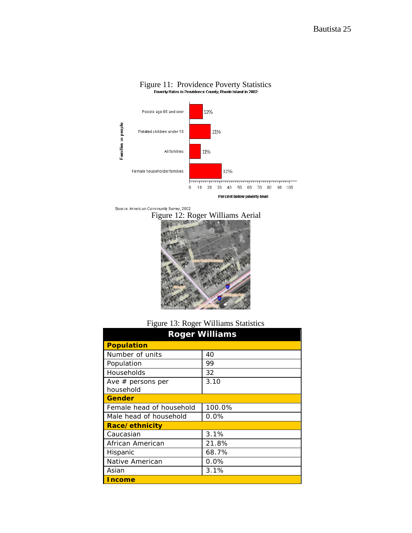

# Figure 11: Providence Poverty Statistics<br>
Poverty Rates in Providence County, Rhode Island in 2002

Source: American Community Survey, 2002





Figure 13: Roger Williams Statistics

| <b>Roger Williams</b>    |         |  |  |  |
|--------------------------|---------|--|--|--|
| <b>Population</b>        |         |  |  |  |
| Number of units          | 40      |  |  |  |
| Population               | 99      |  |  |  |
| Households               | 32      |  |  |  |
| Ave $#$ persons per      | 3.10    |  |  |  |
| household                |         |  |  |  |
| Gender                   |         |  |  |  |
| Female head of household | 100.0%  |  |  |  |
| Male head of household   | 0.0%    |  |  |  |
| Race/ethnicity           |         |  |  |  |
| Caucasian                | 3.1%    |  |  |  |
| African American         | 21.8%   |  |  |  |
| Hispanic                 | 68.7%   |  |  |  |
| Native American          | $0.0\%$ |  |  |  |
| Asian                    | 3.1%    |  |  |  |
| <b>Income</b>            |         |  |  |  |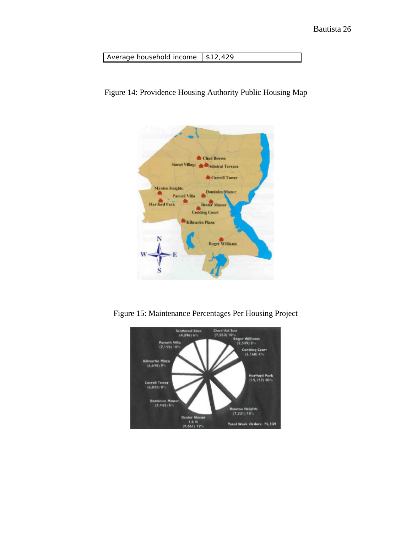| Average household income   \$12,429 |  |
|-------------------------------------|--|





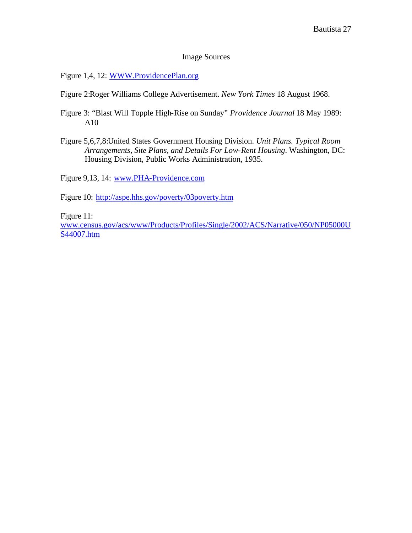#### Image Sources

Figure 1,4, 12: WWW.ProvidencePlan.org

Figure 2:Roger Williams College Advertisement. *New York Times* 18 August 1968.

- Figure 3: "Blast Will Topple High-Rise on Sunday" *Providence Journal* 18 May 1989: A10
- Figure 5,6,7,8:United States Government Housing Division. *Unit Plans. Typical Room Arrangements, Site Plans, and Details For Low-Rent Housing*. Washington, DC: Housing Division, Public Works Administration, 1935.

Figure 9,13, 14: www.PHA-Providence.com

Figure 10: http://aspe.hhs.gov/poverty/03poverty.htm

Figure 11:

www.census.gov/acs/www/Products/Profiles/Single/2002/ACS/Narrative/050/NP05000U S44007.htm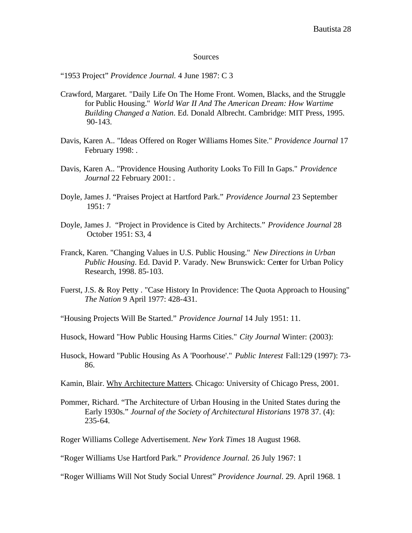#### Sources

"1953 Project" *Providence Journal.* 4 June 1987: C 3

- Crawford, Margaret. "Daily Life On The Home Front. Women, Blacks, and the Struggle for Public Housing." *World War II And The American Dream: How Wartime Building Changed a Nation*. Ed. Donald Albrecht. Cambridge: MIT Press, 1995. 90-143.
- Davis, Karen A.. "Ideas Offered on Roger Williams Homes Site." *Providence Journal* 17 February 1998: .
- Davis, Karen A.. "Providence Housing Authority Looks To Fill In Gaps." *Providence Journal* 22 February 2001: .
- Doyle, James J. "Praises Project at Hartford Park." *Providence Journal* 23 September 1951: 7
- Doyle, James J. "Project in Providence is Cited by Architects." *Providence Journal* 28 October 1951: S3, 4
- Franck, Karen. "Changing Values in U.S. Public Housing." *New Directions in Urban Public Housing*. Ed. David P. Varady. New Brunswick: Center for Urban Policy Research, 1998. 85-103.
- Fuerst, J.S. & Roy Petty . "Case History In Providence: The Quota Approach to Housing" *The Nation* 9 April 1977: 428-431.
- "Housing Projects Will Be Started." *Providence Journal* 14 July 1951: 11.
- Husock, Howard "How Public Housing Harms Cities." *City Journal* Winter: (2003):
- Husock, Howard "Public Housing As A 'Poorhouse'." *Public Interest* Fall:129 (1997): 73- 86.
- Kamin, Blair. Why Architecture Matters. Chicago: University of Chicago Press, 2001.
- Pommer, Richard. "The Architecture of Urban Housing in the United States during the Early 1930s." *Journal of the Society of Architectural Historians* 1978 37. (4): 235-64.
- Roger Williams College Advertisement. *New York Times* 18 August 1968.

"Roger Williams Will Not Study Social Unrest" *Providence Journal*. 29. April 1968. 1

<sup>&</sup>quot;Roger Williams Use Hartford Park." *Providence Journal.* 26 July 1967: 1